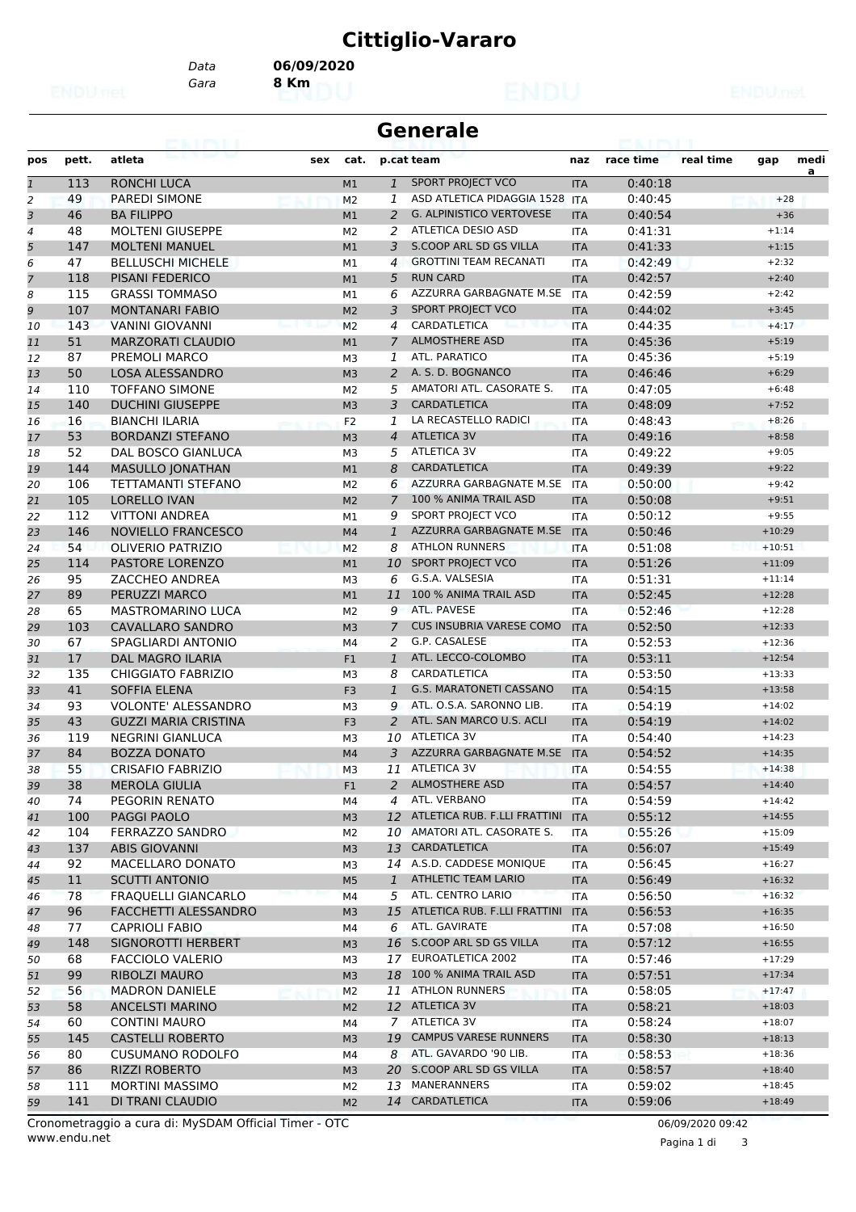## **Cittiglio-Vararo**

*Gara* **8 Km** *Data* **06/09/2020**

| Generale |  |
|----------|--|
|----------|--|

| pos            | pett. | atleta<br>sex               | cat.           |                | p.cat team                      | naz        | race time | real time | gap      | medi |
|----------------|-------|-----------------------------|----------------|----------------|---------------------------------|------------|-----------|-----------|----------|------|
| $\mathbf{1}$   | 113   | <b>RONCHI LUCA</b>          | M1             | $\mathbf{1}$   | <b>SPORT PROJECT VCO</b>        | <b>ITA</b> | 0:40:18   |           |          | a    |
| $\overline{a}$ | 49    | <b>PAREDI SIMONE</b>        | M <sub>2</sub> | 1              | ASD ATLETICA PIDAGGIA 1528 ITA  |            | 0:40:45   |           | $+28$    |      |
| 3              | 46    | <b>BA FILIPPO</b>           | M1             | $\overline{a}$ | <b>G. ALPINISTICO VERTOVESE</b> | <b>ITA</b> | 0:40:54   |           | $+36$    |      |
| 4              | 48    | <b>MOLTENI GIUSEPPE</b>     | M <sub>2</sub> | 2              | ATLETICA DESIO ASD              | <b>ITA</b> | 0:41:31   |           | $+1:14$  |      |
| 5              | 147   | <b>MOLTENI MANUEL</b>       | M1             | 3              | S.COOP ARL SD GS VILLA          | <b>ITA</b> | 0:41:33   |           | $+1:15$  |      |
| 6              | 47    | <b>BELLUSCHI MICHELE</b>    | M1             | $\overline{4}$ | <b>GROTTINI TEAM RECANATI</b>   | <b>ITA</b> | 0:42:49   |           | $+2:32$  |      |
| $\overline{7}$ | 118   | <b>PISANI FEDERICO</b>      | M1             | 5              | <b>RUN CARD</b>                 | <b>ITA</b> | 0:42:57   |           | $+2:40$  |      |
| 8              | 115   | <b>GRASSI TOMMASO</b>       | M1             | 6              | AZZURRA GARBAGNATE M.SE         | <b>ITA</b> | 0:42:59   |           | $+2:42$  |      |
| 9              | 107   | <b>MONTANARI FABIO</b>      | M <sub>2</sub> | 3              | SPORT PROJECT VCO               | <b>ITA</b> | 0:44:02   |           | $+3:45$  |      |
| 10             | 143   | <b>VANINI GIOVANNI</b>      | M <sub>2</sub> | 4              | CARDATLETICA                    | <b>ITA</b> | 0:44:35   |           | $+4:17$  |      |
| 11             | 51    | <b>MARZORATI CLAUDIO</b>    | M1             | $\overline{7}$ | <b>ALMOSTHERE ASD</b>           | <b>ITA</b> | 0:45:36   |           | $+5:19$  |      |
| 12             | 87    | <b>PREMOLI MARCO</b>        | M3             | 1              | ATL. PARATICO                   | <b>ITA</b> | 0:45:36   |           | $+5:19$  |      |
| 13             | 50    | <b>LOSA ALESSANDRO</b>      | M <sub>3</sub> | 2              | A. S. D. BOGNANCO               | <b>ITA</b> | 0:46:46   |           | $+6:29$  |      |
| 14             | 110   | <b>TOFFANO SIMONE</b>       | M <sub>2</sub> | 5              | AMATORI ATL. CASORATE S.        | <b>ITA</b> | 0:47:05   |           | $+6:48$  |      |
| 15             | 140   | <b>DUCHINI GIUSEPPE</b>     | M <sub>3</sub> | 3              | <b>CARDATLETICA</b>             | <b>ITA</b> | 0:48:09   |           | $+7:52$  |      |
| 16             | 16    | <b>BIANCHI ILARIA</b>       | F <sub>2</sub> | 1              | LA RECASTELLO RADICI            | <b>ITA</b> | 0:48:43   |           | $+8:26$  |      |
| 17             | 53    | <b>BORDANZI STEFANO</b>     | M <sub>3</sub> | $\overline{4}$ | <b>ATLETICA 3V</b>              | <b>ITA</b> | 0:49:16   |           | $+8:58$  |      |
| 18             | 52    | <b>DAL BOSCO GIANLUCA</b>   | M3             | 5              | <b>ATLETICA 3V</b>              | <b>ITA</b> | 0:49:22   |           | $+9:05$  |      |
| 19             | 144   | <b>MASULLO JONATHAN</b>     | M1             | 8              | <b>CARDATLETICA</b>             | <b>ITA</b> | 0:49:39   |           | $+9:22$  |      |
| 20             | 106   | <b>TETTAMANTI STEFANO</b>   | M <sub>2</sub> | 6              | AZZURRA GARBAGNATE M.SE         | <b>ITA</b> | 0:50:00   |           | $+9:42$  |      |
| 21             | 105   | <b>LORELLO IVAN</b>         | M <sub>2</sub> | $\overline{7}$ | 100 % ANIMA TRAIL ASD           | <b>ITA</b> | 0:50:08   |           | $+9:51$  |      |
| 22             | 112   | <b>VITTONI ANDREA</b>       | M1             | 9              | SPORT PROJECT VCO               | <b>ITA</b> | 0:50:12   |           | $+9:55$  |      |
| 23             | 146   | NOVIELLO FRANCESCO          | M4             | $\mathbf{1}$   | AZZURRA GARBAGNATE M.SE         | <b>ITA</b> | 0:50:46   |           | $+10:29$ |      |
| 24             | 54    | <b>OLIVERIO PATRIZIO</b>    | M <sub>2</sub> | 8              | <b>ATHLON RUNNERS</b>           | <b>ITA</b> | 0:51:08   |           | $+10:51$ |      |
| 25             | 114   | PASTORE LORENZO             | M1             | 10             | SPORT PROJECT VCO               | <b>ITA</b> | 0:51:26   |           | $+11:09$ |      |
| 26             | 95    | ZACCHEO ANDREA              | M3             | 6              | G.S.A. VALSESIA                 | <b>ITA</b> | 0:51:31   |           | $+11:14$ |      |
| 27             | 89    | PERUZZI MARCO               | M1             | 11             | 100 % ANIMA TRAIL ASD           | <b>ITA</b> | 0:52:45   |           | $+12:28$ |      |
| 28             | 65    | <b>MASTROMARINO LUCA</b>    | M <sub>2</sub> | 9              | ATL. PAVESE                     | <b>ITA</b> | 0:52:46   |           | $+12:28$ |      |
| 29             | 103   | <b>CAVALLARO SANDRO</b>     | M <sub>3</sub> | $\overline{7}$ | <b>CUS INSUBRIA VARESE COMO</b> | <b>ITA</b> | 0:52:50   |           | $+12:33$ |      |
| 30             | 67    | SPAGLIARDI ANTONIO          | M4             | 2              | G.P. CASALESE                   | ITA        | 0:52:53   |           | $+12:36$ |      |
| 31             | 17    | <b>DAL MAGRO ILARIA</b>     | F <sub>1</sub> | $\mathbf{1}$   | ATL. LECCO-COLOMBO              | <b>ITA</b> | 0:53:11   |           | $+12:54$ |      |
| 32             | 135   | <b>CHIGGIATO FABRIZIO</b>   | M3             | 8              | CARDATLETICA                    | <b>ITA</b> | 0:53:50   |           | $+13:33$ |      |
| 33             | 41    | <b>SOFFIA ELENA</b>         | F <sub>3</sub> | $\mathbf{1}$   | <b>G.S. MARATONETI CASSANO</b>  | <b>ITA</b> | 0:54:15   |           | $+13:58$ |      |
| 34             | 93    | <b>VOLONTE' ALESSANDRO</b>  | M <sub>3</sub> | 9              | ATL. O.S.A. SARONNO LIB.        | <b>ITA</b> | 0:54:19   |           | $+14:02$ |      |
| 35             | 43    | <b>GUZZI MARIA CRISTINA</b> | F <sub>3</sub> | $\overline{2}$ | ATL. SAN MARCO U.S. ACLI        | <b>ITA</b> | 0:54:19   |           | $+14:02$ |      |
| 36             | 119   | <b>NEGRINI GIANLUCA</b>     | M3             | 10             | ATLETICA 3V                     | <b>ITA</b> | 0:54:40   |           | $+14:23$ |      |
| 37             | 84    | <b>BOZZA DONATO</b>         | M4             | 3              | AZZURRA GARBAGNATE M.SE         | <b>ITA</b> | 0:54:52   |           | $+14:35$ |      |
| 38             | 55    | CRISAFIO FABRIZIO           | M <sub>3</sub> | 11             | <b>ATLETICA 3V</b>              | <b>ITA</b> | 0:54:55   |           | $+14:38$ |      |
| 39             | 38    | <b>MEROLA GIULIA</b>        | F1             | $\overline{a}$ | <b>ALMOSTHERE ASD</b>           | <b>ITA</b> | 0:54:57   |           | $+14:40$ |      |
| 40             | 74    | PEGORIN RENATO              | M4             |                | 4 ATL. VERBANO                  | ITA        | 0:54:59   |           | $+14:42$ |      |
| 41             | 100   | PAGGI PAOLO                 | M3             |                | 12 ATLETICA RUB. F.LLI FRATTINI | <b>ITA</b> | 0:55:12   |           | $+14:55$ |      |
| 42             | 104   | <b>FERRAZZO SANDRO</b>      | M2             | 10             | AMATORI ATL. CASORATE S.        | ITA        | 0:55:26   |           | $+15:09$ |      |
| 43             | 137   | <b>ABIS GIOVANNI</b>        | M3             | 13             | CARDATLETICA                    | <b>ITA</b> | 0:56:07   |           | $+15:49$ |      |
| 44             | 92    | MACELLARO DONATO            | MЗ             |                | 14 A.S.D. CADDESE MONIQUE       | ITA        | 0:56:45   |           | $+16:27$ |      |
| 45             | 11    | <b>SCUTTI ANTONIO</b>       | M <sub>5</sub> | $\mathbf{1}$   | ATHLETIC TEAM LARIO             | <b>ITA</b> | 0:56:49   |           | $+16:32$ |      |
| 46             | 78    | FRAQUELLI GIANCARLO         | M4             | 5              | ATL. CENTRO LARIO               | <b>ITA</b> | 0:56:50   |           | $+16:32$ |      |
| 47             | 96    | <b>FACCHETTI ALESSANDRO</b> | M <sub>3</sub> | 15             | ATLETICA RUB. F.LLI FRATTINI    | <b>ITA</b> | 0:56:53   |           | $+16:35$ |      |
| 48             | 77    | <b>CAPRIOLI FABIO</b>       | M4             | 6              | ATL. GAVIRATE                   | ITA        | 0:57:08   |           | $+16:50$ |      |
| 49             | 148   | SIGNOROTTI HERBERT          | M3             |                | 16 S.COOP ARL SD GS VILLA       | <b>ITA</b> | 0:57:12   |           | $+16:55$ |      |
| 50             | 68    | <b>FACCIOLO VALERIO</b>     | MЗ             | 17             | EUROATLETICA 2002               | ITA        | 0:57:46   |           | $+17:29$ |      |
| 51             | 99    | <b>RIBOLZI MAURO</b>        | M <sub>3</sub> | 18             | 100 % ANIMA TRAIL ASD           | <b>ITA</b> | 0:57:51   |           | $+17:34$ |      |
| 52             | 56    | <b>MADRON DANIELE</b>       | M <sub>2</sub> | 11             | <b>ATHLON RUNNERS</b>           | ITA        | 0:58:05   |           | $+17:47$ |      |
| 53             | 58    | <b>ANCELSTI MARINO</b>      | M <sub>2</sub> |                | 12 ATLETICA 3V                  | <b>ITA</b> | 0:58:21   |           | $+18:03$ |      |
| 54             | 60    | <b>CONTINI MAURO</b>        | M4             | 7              | ATLETICA 3V                     | ITA        | 0:58:24   |           | $+18:07$ |      |
| 55             | 145   | <b>CASTELLI ROBERTO</b>     | M3             | 19             | <b>CAMPUS VARESE RUNNERS</b>    | <b>ITA</b> | 0:58:30   |           | $+18:13$ |      |
| 56             | 80    | <b>CUSUMANO RODOLFO</b>     | M4             | 8              | ATL. GAVARDO '90 LIB.           | ITA        | 0:58:53   |           | $+18:36$ |      |
| 57             | 86    | <b>RIZZI ROBERTO</b>        | M <sub>3</sub> | 20             | S.COOP ARL SD GS VILLA          | <b>ITA</b> | 0:58:57   |           | $+18:40$ |      |
| 58             | 111   | <b>MORTINI MASSIMO</b>      | M2             | 13             | MANERANNERS                     | ITA        | 0:59:02   |           | $+18:45$ |      |
| 59             | 141   | DI TRANI CLAUDIO            | M <sub>2</sub> |                | 14 CARDATLETICA                 | <b>ITA</b> | 0:59:06   |           | $+18:49$ |      |
|                |       |                             |                |                |                                 |            |           |           |          |      |

www.endu.net Cronometraggio a cura di: MySDAM Official Timer - OTC 06/09/2020 09:42

Pagina 1 di 3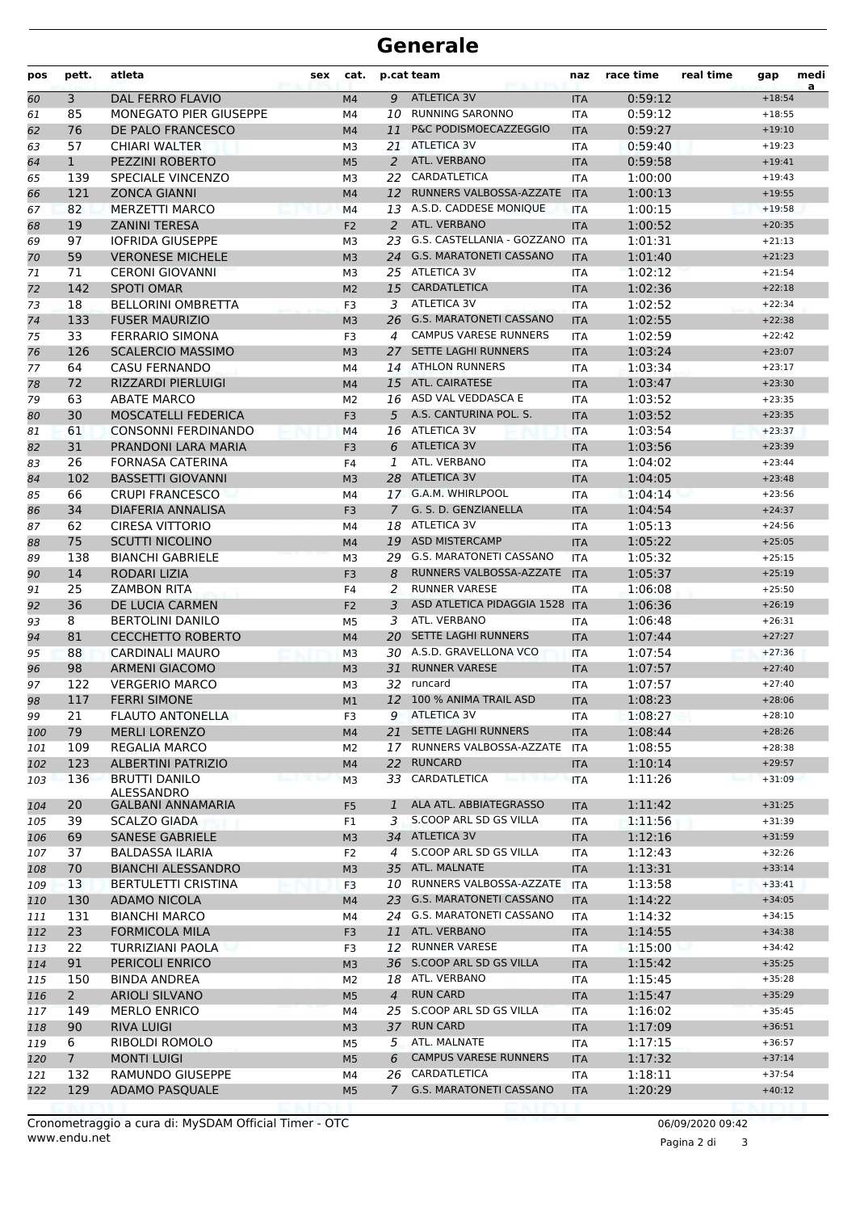## **Generale**

| pos | pett.          | atleta                                 | sex | cat.           |                | p.cat team                     | naz        | race time | real time | gap      | medi<br>a |
|-----|----------------|----------------------------------------|-----|----------------|----------------|--------------------------------|------------|-----------|-----------|----------|-----------|
| 60  | 3              | <b>DAL FERRO FLAVIO</b>                |     | M <sub>4</sub> | 9              | <b>ATLETICA 3V</b>             | <b>ITA</b> | 0:59:12   |           | $+18:54$ |           |
| 61  | 85             | <b>MONEGATO PIER GIUSEPPE</b>          |     | M4             |                | 10 RUNNING SARONNO             | <b>ITA</b> | 0:59:12   |           | $+18:55$ |           |
| 62  | 76             | DE PALO FRANCESCO                      |     | M <sub>4</sub> | 11             | P&C PODISMOECAZZEGGIO          | <b>ITA</b> | 0:59:27   |           | $+19:10$ |           |
| 63  | 57             | <b>CHIARI WALTER</b>                   |     | M3             | 21             | <b>ATLETICA 3V</b>             | <b>ITA</b> | 0:59:40   |           | $+19:23$ |           |
| 64  | $\mathbf{1}$   | PEZZINI ROBERTO                        |     | M <sub>5</sub> | 2              | ATL. VERBANO                   | <b>ITA</b> | 0:59:58   |           | $+19:41$ |           |
| 65  | 139            | <b>SPECIALE VINCENZO</b>               |     | M <sub>3</sub> | 22             | CARDATLETICA                   | <b>ITA</b> | 1:00:00   |           | $+19:43$ |           |
| 66  | 121            | <b>ZONCA GIANNI</b>                    |     | M4             | 12             | RUNNERS VALBOSSA-AZZATE        | <b>ITA</b> | 1:00:13   |           | $+19:55$ |           |
| 67  | 82             | <b>MERZETTI MARCO</b>                  |     | M4             |                | 13 A.S.D. CADDESE MONIQUE      | <b>ITA</b> | 1:00:15   |           | $+19:58$ |           |
| 68  | 19             | <b>ZANINI TERESA</b>                   |     | F <sub>2</sub> | 2              | ATL. VERBANO                   | <b>ITA</b> | 1:00:52   |           | $+20:35$ |           |
| 69  | 97             | <b>IOFRIDA GIUSEPPE</b>                |     | M3             | 23             | G.S. CASTELLANIA - GOZZANO     | <b>ITA</b> | 1:01:31   |           | $+21:13$ |           |
| 70  | 59             | <b>VERONESE MICHELE</b>                |     | M <sub>3</sub> |                | 24 G.S. MARATONETI CASSANO     | <b>ITA</b> | 1:01:40   |           | $+21:23$ |           |
| 71  | 71             | <b>CERONI GIOVANNI</b>                 |     | M <sub>3</sub> |                | 25 ATLETICA 3V                 | <b>ITA</b> | 1:02:12   |           | $+21:54$ |           |
| 72  | 142            | <b>SPOTI OMAR</b>                      |     | M <sub>2</sub> | 15             | <b>CARDATLETICA</b>            | <b>ITA</b> | 1:02:36   |           | $+22:18$ |           |
| 73  | 18             | <b>BELLORINI OMBRETTA</b>              |     | F3             | 3              | <b>ATLETICA 3V</b>             | ITA        | 1:02:52   |           | $+22:34$ |           |
| 74  | 133            | <b>FUSER MAURIZIO</b>                  |     | M <sub>3</sub> |                | 26 G.S. MARATONETI CASSANO     | <b>ITA</b> | 1:02:55   |           | $+22:38$ |           |
| 75  | 33             | <b>FERRARIO SIMONA</b>                 |     | F3             | 4              | <b>CAMPUS VARESE RUNNERS</b>   | <b>ITA</b> | 1:02:59   |           | $+22:42$ |           |
| 76  | 126            | <b>SCALERCIO MASSIMO</b>               |     | M <sub>3</sub> | 27             | <b>SETTE LAGHI RUNNERS</b>     | <b>ITA</b> | 1:03:24   |           | $+23:07$ |           |
| 77  | 64             | <b>CASU FERNANDO</b>                   |     | M4             |                | 14 ATHLON RUNNERS              | <b>ITA</b> | 1:03:34   |           | $+23:17$ |           |
| 78  | 72             | <b>RIZZARDI PIERLUIGI</b>              |     | M4             |                | 15 ATL. CAIRATESE              | <b>ITA</b> | 1:03:47   |           | $+23:30$ |           |
| 79  | 63             | <b>ABATE MARCO</b>                     |     | M <sub>2</sub> |                | 16 ASD VAL VEDDASCA E          | <b>ITA</b> | 1:03:52   |           | $+23:35$ |           |
| 80  | 30             | <b>MOSCATELLI FEDERICA</b>             |     | F <sub>3</sub> | 5              | A.S. CANTURINA POL. S.         | <b>ITA</b> | 1:03:52   |           | $+23:35$ |           |
| 81  | 61             | <b>CONSONNI FERDINANDO</b>             |     | M4             |                | 16 ATLETICA 3V                 | <b>ITA</b> | 1:03:54   |           | $+23:37$ |           |
| 82  | 31             | PRANDONI LARA MARIA                    |     | F <sub>3</sub> | 6              | <b>ATLETICA 3V</b>             | <b>ITA</b> | 1:03:56   |           | $+23:39$ |           |
| 83  | 26             | <b>FORNASA CATERINA</b>                |     | F4             | 1              | ATL. VERBANO                   | <b>ITA</b> | 1:04:02   |           | $+23:44$ |           |
| 84  | 102            | <b>BASSETTI GIOVANNI</b>               |     | M <sub>3</sub> | 28             | <b>ATLETICA 3V</b>             | <b>ITA</b> | 1:04:05   |           | $+23:48$ |           |
| 85  | 66             | <b>CRUPI FRANCESCO</b>                 |     | M4             |                | 17 G.A.M. WHIRLPOOL            | <b>ITA</b> | 1:04:14   |           | $+23:56$ |           |
| 86  | 34             | DIAFERIA ANNALISA                      |     | F <sub>3</sub> | $\mathcal{I}$  | G. S. D. GENZIANELLA           | <b>ITA</b> | 1:04:54   |           | $+24:37$ |           |
| 87  | 62             | CIRESA VITTORIO                        |     | M4             |                | 18 ATLETICA 3V                 | ITA        | 1:05:13   |           | $+24:56$ |           |
| 88  | 75             | <b>SCUTTI NICOLINO</b>                 |     | M <sub>4</sub> |                | 19 ASD MISTERCAMP              | <b>ITA</b> | 1:05:22   |           | $+25:05$ |           |
| 89  | 138            | <b>BIANCHI GABRIELE</b>                |     | M <sub>3</sub> |                | 29 G.S. MARATONETI CASSANO     | <b>ITA</b> | 1:05:32   |           | $+25:15$ |           |
| 90  | 14             | RODARI LIZIA                           |     | F <sub>3</sub> | 8              | RUNNERS VALBOSSA-AZZATE        | <b>ITA</b> | 1:05:37   |           | $+25:19$ |           |
| 91  | 25             | <b>ZAMBON RITA</b>                     |     | F4             | 2              | <b>RUNNER VARESE</b>           | <b>ITA</b> | 1:06:08   |           | $+25:50$ |           |
| 92  | 36             | DE LUCIA CARMEN                        |     | F <sub>2</sub> | 3              | ASD ATLETICA PIDAGGIA 1528 ITA |            | 1:06:36   |           | $+26:19$ |           |
| 93  | 8              | <b>BERTOLINI DANILO</b>                |     | M5             | 3              | ATL. VERBANO                   | <b>ITA</b> | 1:06:48   |           | $+26:31$ |           |
| 94  | 81             | <b>CECCHETTO ROBERTO</b>               |     | M4             | 20             | <b>SETTE LAGHI RUNNERS</b>     | <b>ITA</b> | 1:07:44   |           | $+27:27$ |           |
| 95  | 88             | <b>CARDINALI MAURO</b>                 |     | M <sub>3</sub> |                | 30 A.S.D. GRAVELLONA VCO       | <b>ITA</b> | 1:07:54   |           | $+27:36$ |           |
| 96  | 98             | <b>ARMENI GIACOMO</b>                  |     | M <sub>3</sub> | 31             | <b>RUNNER VARESE</b>           | <b>ITA</b> | 1:07:57   |           | $+27:40$ |           |
| 97  | 122            | <b>VERGERIO MARCO</b>                  |     | M3             |                | 32 runcard                     | <b>ITA</b> | 1:07:57   |           | $+27:40$ |           |
| 98  | 117            | <b>FERRI SIMONE</b>                    |     | M1             |                | 12 100 % ANIMA TRAIL ASD       | <b>ITA</b> | 1:08:23   |           | $+28:06$ |           |
| 99  | 21             | <b>FLAUTO ANTONELLA</b>                |     | F3             | 9              | <b>ATLETICA 3V</b>             | ITA        | 1:08:27   |           | $+28:10$ |           |
| 100 | 79             | <b>MERLI LORENZO</b>                   |     | M4             | 21             | <b>SETTE LAGHI RUNNERS</b>     | <b>ITA</b> | 1:08:44   |           | $+28:26$ |           |
| 101 | 109            | REGALIA MARCO                          |     | M <sub>2</sub> |                | 17 RUNNERS VALBOSSA-AZZATE     | <b>ITA</b> | 1:08:55   |           | $+28:38$ |           |
| 102 | 123            | <b>ALBERTINI PATRIZIO</b>              |     | M4             | 22             | <b>RUNCARD</b>                 | <b>ITA</b> | 1:10:14   |           | $+29:57$ |           |
| 103 | 136            | <b>BRUTTI DANILO</b>                   |     | M <sub>3</sub> | 33             | CARDATLETICA                   | <b>ITA</b> | 1:11:26   |           | $+31:09$ |           |
| 104 | 20             | ALESSANDRO<br><b>GALBANI ANNAMARIA</b> |     | F <sub>5</sub> | 1              | ALA ATL. ABBIATEGRASSO         | <b>ITA</b> | 1:11:42   |           | $+31:25$ |           |
| 105 | 39             | <b>SCALZO GIADA</b>                    |     | F1             | 3              | S.COOP ARL SD GS VILLA         | ITA        | 1:11:56   |           | $+31:39$ |           |
| 106 | 69             | <b>SANESE GABRIELE</b>                 |     | M <sub>3</sub> | 34             | <b>ATLETICA 3V</b>             | <b>ITA</b> | 1:12:16   |           | $+31:59$ |           |
| 107 | 37             | <b>BALDASSA ILARIA</b>                 |     | F <sub>2</sub> | 4              | S.COOP ARL SD GS VILLA         | ITA        | 1:12:43   |           | $+32:26$ |           |
| 108 | 70             | <b>BIANCHI ALESSANDRO</b>              |     | M <sub>3</sub> | 35             | ATL. MALNATE                   | <b>ITA</b> | 1:13:31   |           | $+33:14$ |           |
| 109 | 13             | <b>BERTULETTI CRISTINA</b>             |     | F3             |                | 10 RUNNERS VALBOSSA-AZZATE     | <b>ITA</b> | 1:13:58   |           | $+33:41$ |           |
| 110 | 130            | ADAMO NICOLA                           |     | M4             |                | 23 G.S. MARATONETI CASSANO     | <b>ITA</b> | 1:14:22   |           | $+34:05$ |           |
| 111 | 131            | <b>BIANCHI MARCO</b>                   |     | М4             |                | 24 G.S. MARATONETI CASSANO     | <b>ITA</b> | 1:14:32   |           | $+34:15$ |           |
| 112 | 23             | <b>FORMICOLA MILA</b>                  |     | F <sub>3</sub> | 11             | ATL. VERBANO                   | <b>ITA</b> | 1:14:55   |           | $+34:38$ |           |
| 113 | 22             | TURRIZIANI PAOLA                       |     | F3             |                | 12 RUNNER VARESE               | ITA        | 1:15:00   |           | $+34:42$ |           |
| 114 | 91             | PERICOLI ENRICO                        |     | M <sub>3</sub> |                | 36 S.COOP ARL SD GS VILLA      | <b>ITA</b> | 1:15:42   |           | $+35:25$ |           |
| 115 | 150            | <b>BINDA ANDREA</b>                    |     | M <sub>2</sub> |                | 18 ATL. VERBANO                | ITA        | 1:15:45   |           | $+35:28$ |           |
| 116 | $2^{\circ}$    | ARIOLI SILVANO                         |     | M <sub>5</sub> | $\overline{4}$ | <b>RUN CARD</b>                | <b>ITA</b> | 1:15:47   |           | $+35:29$ |           |
| 117 | 149            | <b>MERLO ENRICO</b>                    |     | M4             | 25             | S.COOP ARL SD GS VILLA         | <b>ITA</b> | 1:16:02   |           | $+35:45$ |           |
| 118 | 90             | <b>RIVA LUIGI</b>                      |     | M <sub>3</sub> | 37             | <b>RUN CARD</b>                | <b>ITA</b> | 1:17:09   |           | $+36:51$ |           |
| 119 | 6              | RIBOLDI ROMOLO                         |     | M5             | 5              | ATL. MALNATE                   | ITA        | 1:17:15   |           | $+36:57$ |           |
| 120 | 7 <sup>1</sup> | <b>MONTI LUIGI</b>                     |     | M <sub>5</sub> | 6              | <b>CAMPUS VARESE RUNNERS</b>   | <b>ITA</b> | 1:17:32   |           | $+37:14$ |           |
| 121 | 132            | RAMUNDO GIUSEPPE                       |     | M4             | 26             | CARDATLETICA                   | ITA        | 1:18:11   |           | $+37:54$ |           |
| 122 | 129            | ADAMO PASQUALE                         |     | M <sub>5</sub> | $\overline{7}$ | G.S. MARATONETI CASSANO        | <b>ITA</b> | 1:20:29   |           | $+40:12$ |           |
|     |                |                                        |     |                |                |                                |            |           |           |          |           |

Pagina 2 di 3